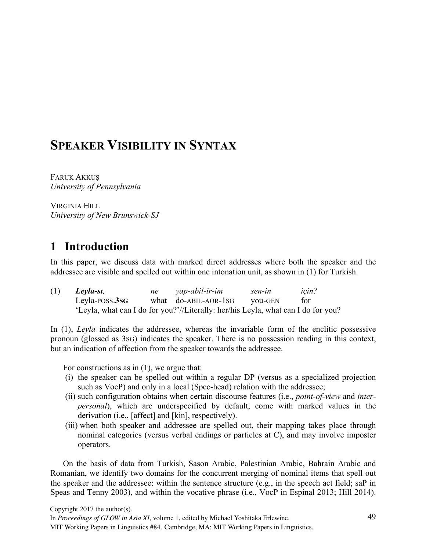# **SPEAKER VISIBILITY IN SYNTAX**

FARUK AKKUŞ *University of Pennsylvania*

VIRGINIA HILL *University of New Brunswick-SJ*

## **1** Introduction

In this paper, we discuss data with marked direct addresses where both the speaker and the addressee are visible and spelled out within one intonation unit, as shown in (1) for Turkish.

| (1) | Leyla-sı,      | ne yap-abil-ir-im                                                                 | sen-in  | icin? |
|-----|----------------|-----------------------------------------------------------------------------------|---------|-------|
|     | Leyla-POSS.3SG | what do-ABIL-AOR-1SG                                                              | vou-GEN | for   |
|     |                | 'Leyla, what can I do for you?'//Literally: her/his Leyla, what can I do for you? |         |       |

In (1), *Leyla* indicates the addressee, whereas the invariable form of the enclitic possessive pronoun (glossed as 3SG) indicates the speaker. There is no possession reading in this context, but an indication of affection from the speaker towards the addressee.

For constructions as in  $(1)$ , we argue that:

- (i) the speaker can be spelled out within a regular DP (versus as a specialized projection such as VocP) and only in a local (Spec-head) relation with the addressee;
- (ii) such configuration obtains when certain discourse features (i.e., *point-of-view* and *interpersonal*), which are underspecified by default, come with marked values in the derivation (i.e., [affect] and [kin], respectively).
- (iii) when both speaker and addressee are spelled out, their mapping takes place through nominal categories (versus verbal endings or particles at C), and may involve imposter operators.

On the basis of data from Turkish, Sason Arabic, Palestinian Arabic, Bahrain Arabic and Romanian, we identify two domains for the concurrent merging of nominal items that spell out the speaker and the addressee: within the sentence structure (e.g., in the speech act field; saP in Speas and Tenny 2003), and within the vocative phrase (i.e., VocP in Espinal 2013; Hill 2014).

In *Proceedings of GLOW in Asia XI*, volume 1, edited by Michael Yoshitaka Erlewine.

MIT Working Papers in Linguistics #84. Cambridge, MA: MIT Working Papers in Linguistics.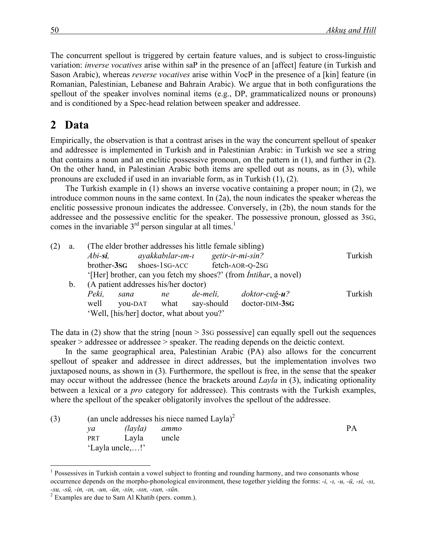The concurrent spellout is triggered by certain feature values, and is subject to cross-linguistic variation: *inverse vocatives* arise within saP in the presence of an [affect] feature (in Turkish and Sason Arabic), whereas *reverse vocatives* arise within VocP in the presence of a [kin] feature (in Romanian, Palestinian, Lebanese and Bahrain Arabic). We argue that in both configurations the spellout of the speaker involves nominal items (e.g., DP, grammaticalized nouns or pronouns) and is conditioned by a Spec-head relation between speaker and addressee.

# 2 Data

Empirically, the observation is that a contrast arises in the way the concurrent spellout of speaker and addressee is implemented in Turkish and in Palestinian Arabic: in Turkish we see a string that contains a noun and an enclitic possessive pronoun, on the pattern in (1), and further in (2). On the other hand, in Palestinian Arabic both items are spelled out as nouns, as in (3), while pronouns are excluded if used in an invariable form, as in Turkish (1), (2).

The Turkish example in (1) shows an inverse vocative containing a proper noun; in (2), we introduce common nouns in the same context. In (2a), the noun indicates the speaker whereas the enclitic possessive pronoun indicates the addressee. Conversely, in (2b), the noun stands for the addressee and the possessive enclitic for the speaker. The possessive pronoun, glossed as 3SG, comes in the invariable  $3<sup>rd</sup>$  person singular at all times.<sup>1</sup>

| (2) | a.          |            |                                           |    | (The elder brother addresses his little female sibling)    |                                                                          |         |
|-----|-------------|------------|-------------------------------------------|----|------------------------------------------------------------|--------------------------------------------------------------------------|---------|
|     |             | $Abi$ -si, |                                           |    | $ayakkabular$ - $um$ - $u$ $getir$ - $ir$ - $mi$ - $sin$ ? |                                                                          | Turkish |
|     |             |            | brother-3sG shoes-1sG-ACC                 |    |                                                            | fetch-AOR-Q-2SG                                                          |         |
|     |             |            |                                           |    |                                                            | '[Her] brother, can you fetch my shoes?' (from <i>Intihar</i> , a novel) |         |
|     | $b_{\cdot}$ |            | (A patient addresses his/her doctor)      |    |                                                            |                                                                          |         |
|     |             | Peki.      | sana                                      | ne | de-meli.                                                   | $doktor-cu\gtrsim u$ ?                                                   | Turkish |
|     |             | well       | you-DAT what                              |    | say-should                                                 | doctor-DIM-3sG                                                           |         |
|     |             |            | 'Well, [his/her] doctor, what about you?' |    |                                                            |                                                                          |         |

The data in (2) show that the string  $[noun > 3SG$  possessive] can equally spell out the sequences speaker > addressee or addressee > speaker. The reading depends on the deictic context.

In the same geographical area, Palestinian Arabic (PA) also allows for the concurrent spellout of speaker and addressee in direct addresses, but the implementation involves two juxtaposed nouns, as shown in (3). Furthermore, the spellout is free, in the sense that the speaker may occur without the addressee (hence the brackets around *Layla* in (3), indicating optionality between a lexical or a *pro* category for addressee). This contrasts with the Turkish examples, where the spellout of the speaker obligatorily involves the spellout of the addressee.

| (3) |                 | (an uncle addresses his niece named Layla) <sup>2</sup> |       |    |  |  |  |  |
|-----|-----------------|---------------------------------------------------------|-------|----|--|--|--|--|
|     | va              | (layla) ammo                                            |       | PА |  |  |  |  |
|     | <b>PRT</b>      | Lavla                                                   | uncle |    |  |  |  |  |
|     | 'Layla uncle,!' |                                                         |       |    |  |  |  |  |

<sup>&</sup>lt;sup>1</sup> Possessives in Turkish contain a vowel subject to fronting and rounding harmony, and two consonants whose occurrence depends on the morpho-phonological environment, these together yielding the forms: *-i, -ı, -u, -ü, -si, -sı, -su, -sü, -in, -ın, -un, -ün, -sin, -sın, -sun, -sün.* <sup>2</sup> Examples are due to Sam Al Khatib (pers. comm.).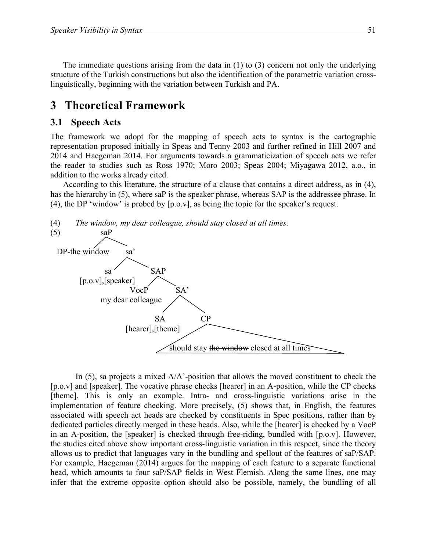The immediate questions arising from the data in (1) to (3) concern not only the underlying structure of the Turkish constructions but also the identification of the parametric variation crosslinguistically, beginning with the variation between Turkish and PA.

### **3** Theoretical Framework

#### **3.1 Speech Acts**

The framework we adopt for the mapping of speech acts to syntax is the cartographic representation proposed initially in Speas and Tenny 2003 and further refined in Hill 2007 and 2014 and Haegeman 2014. For arguments towards a grammaticization of speech acts we refer the reader to studies such as Ross 1970; Moro 2003; Speas 2004; Miyagawa 2012, a.o., in addition to the works already cited.

According to this literature, the structure of a clause that contains a direct address, as in (4), has the hierarchy in (5), where saP is the speaker phrase, whereas SAP is the addressee phrase. In (4), the DP 'window' is probed by [p.o.v], as being the topic for the speaker's request.



In  $(5)$ , sa projects a mixed  $A/A$ -position that allows the moved constituent to check the [p.o.v] and [speaker]. The vocative phrase checks [hearer] in an A-position, while the CP checks [theme]. This is only an example. Intra- and cross-linguistic variations arise in the implementation of feature checking. More precisely, (5) shows that, in English, the features associated with speech act heads are checked by constituents in Spec positions, rather than by dedicated particles directly merged in these heads. Also, while the [hearer] is checked by a VocP in an A-position, the [speaker] is checked through free-riding, bundled with [p.o.v]. However, the studies cited above show important cross-linguistic variation in this respect, since the theory allows us to predict that languages vary in the bundling and spellout of the features of saP/SAP. For example, Haegeman (2014) argues for the mapping of each feature to a separate functional head, which amounts to four saP/SAP fields in West Flemish. Along the same lines, one may infer that the extreme opposite option should also be possible, namely, the bundling of all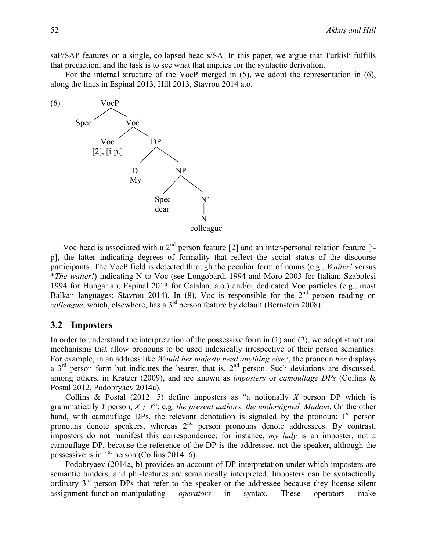saP/SAP features on a single, collapsed head s/SA. In this paper, we argue that Turkish fulfills that prediction, and the task is to see what that implies for the syntactic derivation.

For the internal structure of the VocP merged in (5), we adopt the representation in (6), along the lines in Espinal 2013, Hill 2013, Stavrou 2014 a.o.



Voc head is associated with a  $2<sup>nd</sup>$  person feature [2] and an inter-personal relation feature [ip], the latter indicating degrees of formality that reflect the social status of the discourse participants. The VocP field is detected through the peculiar form of nouns (e.g., *Waiter!* versus \**The waiter!*) indicating N-to-Voc (see Longobardi 1994 and Moro 2003 for Italian; Szabolcsi 1994 for Hungarian; Espinal 2013 for Catalan, a.o.) and/or dedicated Voc particles (e.g., most Balkan languages; Stavrou 2014). In (8), Voc is responsible for the  $2<sup>nd</sup>$  person reading on *colleague*, which, elsewhere, has a 3<sup>rd</sup> person feature by default (Bernstein 2008).

#### 3.2 Imposters

In order to understand the interpretation of the possessive form in  $(1)$  and  $(2)$ , we adopt structural mechanisms that allow pronouns to be used indexically irrespective of their person semantics. For example, in an address like *Would her majesty need anything else?*, the pronoun *her* displays a  $3<sup>rd</sup>$  person form but indicates the hearer, that is,  $2<sup>nd</sup>$  person. Such deviations are discussed, among others, in Kratzer (2009), and are known as *imposters* or *camouflage DPs* (Collins & Postal 2012, Podobryaev 2014a).

Collins & Postal (2012: 5) define imposters as "a notionally *X* person DP which is grammatically *Y* person,  $X \neq Y$ ; e.g. *the present authors, the undersigned, Madam*. On the other hand, with camouflage DPs, the relevant denotation is signaled by the pronoun:  $1<sup>st</sup>$  person pronouns denote speakers, whereas 2<sup>nd</sup> person pronouns denote addressees. By contrast, imposters do not manifest this correspondence; for instance, *my lady* is an imposter, not a camouflage DP, because the reference of the DP is the addressee, not the speaker, although the possessive is in  $1<sup>st</sup>$  person (Collins 2014: 6).

Podobryaev (2014a, b) provides an account of DP interpretation under which imposters are semantic binders, and phi-features are semantically interpreted. Imposters can be syntactically ordinary 3<sup>rd</sup> person DPs that refer to the speaker or the addressee because they license silent assignment-function-manipulating *operators* in syntax. These operators make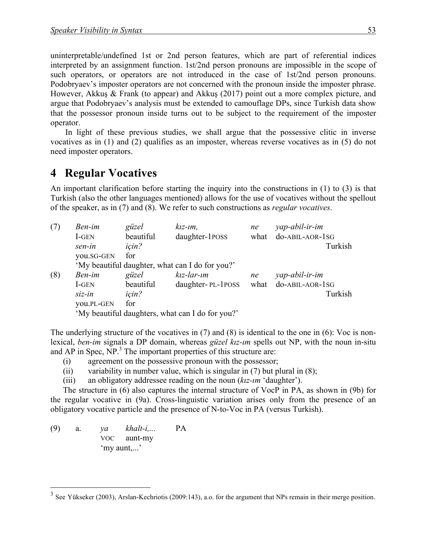uninterpretable/undefined 1st or 2nd person features, which are part of referential indices interpreted by an assignment function. 1st/2nd person pronouns are impossible in the scope of such operators, or operators are not introduced in the case of 1st/2nd person pronouns. Podobryaev's imposter operators are not concerned with the pronoun inside the imposter phrase. However, Akkuş & Frank (to appear) and Akkuş (2017) point out a more complex picture, and argue that Podobryaev's analysis must be extended to camouflage DPs, since Turkish data show that the possessor pronoun inside turns out to be subject to the requirement of the imposter operator.

In light of these previous studies, we shall argue that the possessive clitic in inverse vocatives as in (1) and (2) qualifies as an imposter, whereas reverse vocatives as in (5) do not need imposter operators.

### **4 Regular Vocatives**

An important clarification before starting the inquiry into the constructions in (1) to (3) is that Turkish (also the other languages mentioned) allows for the use of vocatives without the spellout of the speaker, as in (7) and (8). We refer to such constructions as *regular vocatives*.

| (7) | Ben-im                                           | güzel                                           | $kz-im$ ,         | ne   | yap-abil-ir-im  |  |  |  |  |
|-----|--------------------------------------------------|-------------------------------------------------|-------------------|------|-----------------|--|--|--|--|
|     | I-GEN                                            | beautiful                                       | daughter-1POSS    | what | do-ABIL-AOR-1SG |  |  |  |  |
|     | sen-in                                           | icin?                                           |                   |      | Turkish         |  |  |  |  |
|     | you.SG-GEN                                       | for                                             |                   |      |                 |  |  |  |  |
|     |                                                  | 'My beautiful daughter, what can I do for you?' |                   |      |                 |  |  |  |  |
| (8) | Ben-im                                           | güzel                                           | $kiz$ -lar-ım     | ne   | yap-abil-ir-im  |  |  |  |  |
|     | I-GEN                                            | beautiful                                       | daughter-PL-1POSS | what | do-ABIL-AOR-1SG |  |  |  |  |
|     | $siz-in$                                         | icin?                                           |                   |      | Turkish         |  |  |  |  |
|     | <b>YOU.PL-GEN</b>                                | for                                             |                   |      |                 |  |  |  |  |
|     | 'My beautiful daughters, what can I do for you?' |                                                 |                   |      |                 |  |  |  |  |

The underlying structure of the vocatives in (7) and (8) is identical to the one in (6): Voc is nonlexical, *ben-im* signals a DP domain, whereas *güzel kız-ım* spells out NP, with the noun in-situ and AP in Spec, NP.<sup>3</sup> The important properties of this structure are:

- (i) agreement on the possessive pronoun with the possessor;
- (ii) variability in number value, which is singular in  $(7)$  but plural in  $(8)$ ;
- (iii) an obligatory addressee reading on the noun (*kız-ım* 'daughter').

The structure in (6) also captures the internal structure of VocP in PA, as shown in (9b) for the regular vocative in (9a). Cross-linguistic variation arises only from the presence of an obligatory vocative particle and the presence of N-to-Voc in PA (versus Turkish).

(9) a. *ya khalt-i,...* PA VOC aunt-my 'my aunt,...'

<sup>&</sup>lt;sup>3</sup> See Yükseker (2003), Arslan-Kechriotis (2009:143), a.o. for the argument that NPs remain in their merge position.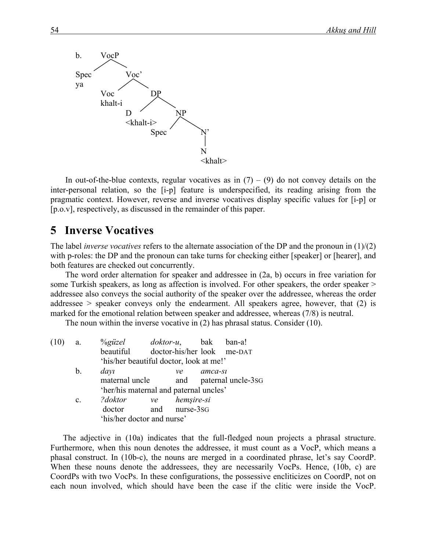

In out-of-the-blue contexts, regular vocatives as in  $(7) - (9)$  do not convey details on the inter-personal relation, so the [i-p] feature is underspecified, its reading arising from the pragmatic context. However, reverse and inverse vocatives display specific values for [i-p] or [p.o.v], respectively, as discussed in the remainder of this paper.

## **5** Inverse Vocatives

The label *inverse vocatives* refers to the alternate association of the DP and the pronoun in (1)/(2) with p-roles: the DP and the pronoun can take turns for checking either [speaker] or [hearer], and both features are checked out concurrently.

The word order alternation for speaker and addressee in (2a, b) occurs in free variation for some Turkish speakers, as long as affection is involved. For other speakers, the order speaker > addressee also conveys the social authority of the speaker over the addressee, whereas the order addressee > speaker conveys only the endearment. All speakers agree, however, that (2) is marked for the emotional relation between speaker and addressee, whereas (7/8) is neutral.

The noun within the inverse vocative in (2) has phrasal status. Consider (10).

| a.             | $\%$ güzel                              |  |                |                            |                                                                                                                                                                            |  |  |  |
|----------------|-----------------------------------------|--|----------------|----------------------------|----------------------------------------------------------------------------------------------------------------------------------------------------------------------------|--|--|--|
|                |                                         |  |                |                            |                                                                                                                                                                            |  |  |  |
|                | 'his/her beautiful doctor, look at me!' |  |                |                            |                                                                                                                                                                            |  |  |  |
| $\mathbf{b}$ . | dayı                                    |  | ve             | amca-si                    |                                                                                                                                                                            |  |  |  |
|                |                                         |  |                |                            |                                                                                                                                                                            |  |  |  |
|                |                                         |  |                |                            |                                                                                                                                                                            |  |  |  |
| $\mathbf{c}$ . | ?doktor                                 |  |                |                            |                                                                                                                                                                            |  |  |  |
|                | doctor                                  |  |                |                            |                                                                                                                                                                            |  |  |  |
|                |                                         |  |                |                            |                                                                                                                                                                            |  |  |  |
|                |                                         |  | maternal uncle | 'his/her doctor and nurse' | <i>doktor-u</i> , bak ban-a!<br>beautiful doctor-his/her look me-DAT<br>and paternal uncle-3sG<br>'her/his maternal and paternal uncles'<br>ve hemsire-si<br>and nurse-3sG |  |  |  |

The adjective in (10a) indicates that the full-fledged noun projects a phrasal structure. Furthermore, when this noun denotes the addressee, it must count as a VocP, which means a phasal construct. In (10b-c), the nouns are merged in a coordinated phrase, let's say CoordP. When these nouns denote the addressees, they are necessarily VocPs. Hence, (10b, c) are CoordPs with two VocPs. In these configurations, the possessive encliticizes on CoordP, not on each noun involved, which should have been the case if the clitic were inside the VocP.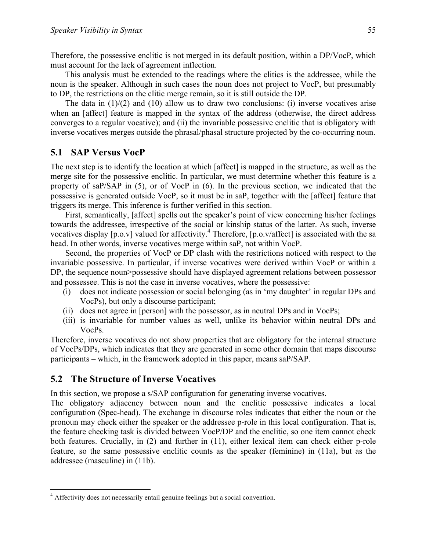Therefore, the possessive enclitic is not merged in its default position, within a DP/VocP, which must account for the lack of agreement inflection.

This analysis must be extended to the readings where the clitics is the addressee, while the noun is the speaker. Although in such cases the noun does not project to VocP, but presumably to DP, the restrictions on the clitic merge remain, so it is still outside the DP.

The data in  $(1)/(2)$  and  $(10)$  allow us to draw two conclusions: (i) inverse vocatives arise when an [affect] feature is mapped in the syntax of the address (otherwise, the direct address converges to a regular vocative); and (ii) the invariable possessive enclitic that is obligatory with inverse vocatives merges outside the phrasal/phasal structure projected by the co-occurring noun.

### **5.1 SAP Versus VocP**

The next step is to identify the location at which [affect] is mapped in the structure, as well as the merge site for the possessive enclitic. In particular, we must determine whether this feature is a property of saP/SAP in (5), or of VocP in (6). In the previous section, we indicated that the possessive is generated outside VocP, so it must be in saP, together with the [affect] feature that triggers its merge. This inference is further verified in this section.

First, semantically, [affect] spells out the speaker's point of view concerning his/her feelings towards the addressee, irrespective of the social or kinship status of the latter. As such, inverse vocatives display [p.o.v] valued for affectivity.<sup>4</sup> Therefore, [p.o.v/affect] is associated with the sa head. In other words, inverse vocatives merge within saP, not within VocP.

Second, the properties of VocP or DP clash with the restrictions noticed with respect to the invariable possessive. In particular, if inverse vocatives were derived within VocP or within a DP, the sequence noun>possessive should have displayed agreement relations between possessor and possessee. This is not the case in inverse vocatives, where the possessive:

- (i) does not indicate possession or social belonging (as in 'my daughter' in regular DPs and VocPs), but only a discourse participant;
- (ii) does not agree in [person] with the possessor, as in neutral DPs and in VocPs;
- (iii) is invariable for number values as well, unlike its behavior within neutral DPs and VocPs.

Therefore, inverse vocatives do not show properties that are obligatory for the internal structure of VocPs/DPs, which indicates that they are generated in some other domain that maps discourse participants – which, in the framework adopted in this paper, means saP/SAP.

### **5.2 The Structure of Inverse Vocatives**

In this section, we propose a s/SAP configuration for generating inverse vocatives.

The obligatory adjacency between noun and the enclitic possessive indicates a local configuration (Spec-head). The exchange in discourse roles indicates that either the noun or the pronoun may check either the speaker or the addressee p-role in this local configuration. That is, the feature checking task is divided between VocP/DP and the enclitic, so one item cannot check both features. Crucially, in (2) and further in (11), either lexical item can check either p-role feature, so the same possessive enclitic counts as the speaker (feminine) in (11a), but as the addressee (masculine) in (11b).

<sup>&</sup>lt;sup>4</sup> Affectivity does not necessarily entail genuine feelings but a social convention.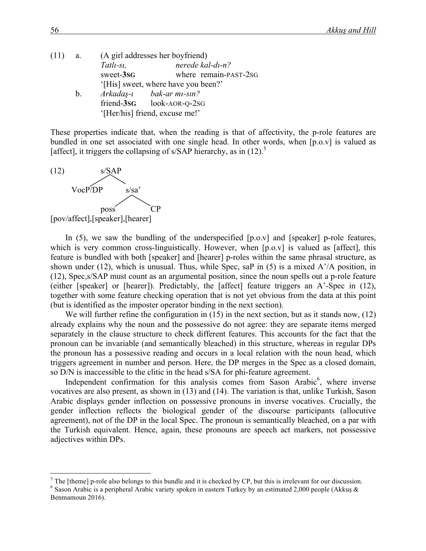| $(11)$ a. |    |           | (A girl addresses her boyfriend)    |                       |
|-----------|----|-----------|-------------------------------------|-----------------------|
|           |    | Tatlı-sı, |                                     | nerede kal-di-n?      |
|           |    | sweet-3sG |                                     | where remain-PAST-2SG |
|           |    |           | '[His] sweet, where have you been?' |                       |
|           | b. |           | Arkadaş-ı bak-ar mı-sın?            |                       |
|           |    |           | friend-3sG look-AOR-Q-2sG           |                       |
|           |    |           | '[Her/his] friend, excuse me!'      |                       |

These properties indicate that, when the reading is that of affectivity, the p-role features are bundled in one set associated with one single head. In other words, when [p.o.v] is valued as [affect], it triggers the collapsing of s/SAP hierarchy, as in (12).<sup>5</sup>



In  $(5)$ , we saw the bundling of the underspecified  $[p.o.v]$  and  $[speaker]$  p-role features, which is very common cross-linguistically. However, when  $[p.o.v]$  is valued as [affect], this feature is bundled with both [speaker] and [hearer] p-roles within the same phrasal structure, as shown under (12), which is unusual. Thus, while Spec, saP in (5) is a mixed  $A'/A$  position, in (12), Spec,s/SAP must count as an argumental position, since the noun spells out a p-role feature (either [speaker] or [hearer]). Predictably, the [affect] feature triggers an A'-Spec in (12), together with some feature checking operation that is not yet obvious from the data at this point (but is identified as the imposter operator binding in the next section).

We will further refine the configuration in (15) in the next section, but as it stands now, (12) already explains why the noun and the possessive do not agree: they are separate items merged separately in the clause structure to check different features. This accounts for the fact that the pronoun can be invariable (and semantically bleached) in this structure, whereas in regular DPs the pronoun has a possessive reading and occurs in a local relation with the noun head, which triggers agreement in number and person. Here, the DP merges in the Spec as a closed domain, so D/N is inaccessible to the clitic in the head s/SA for phi-feature agreement.

Independent confirmation for this analysis comes from Sason Arabic $6$ , where inverse vocatives are also present, as shown in (13) and (14). The variation is that, unlike Turkish, Sason Arabic displays gender inflection on possessive pronouns in inverse vocatives. Crucially, the gender inflection reflects the biological gender of the discourse participants (allocutive agreement), not of the DP in the local Spec. The pronoun is semantically bleached, on a par with the Turkish equivalent. Hence, again, these pronouns are speech act markers, not possessive adjectives within DPs.

<sup>&</sup>lt;sup>5</sup> The [theme] p-role also belongs to this bundle and it is checked by CP, but this is irrelevant for our discussion.<br><sup>6</sup> Sason Arabic is a peripheral Arabic variety spoken in eastern Turkey by an estimated 2,000 people

Benmamoun 2016).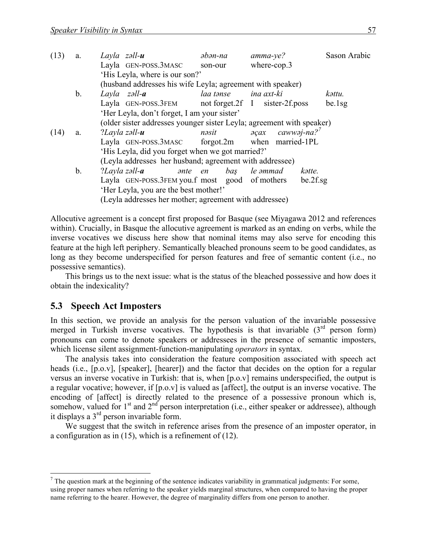| (13) | a.            | Layla $z$ əll- $u$                                                                                                   | $\partial$ <i>b</i> $\partial$ <i>n</i> -na | $amma-ye?$                                               | Sason Arabic |  |  |  |  |  |  |
|------|---------------|----------------------------------------------------------------------------------------------------------------------|---------------------------------------------|----------------------------------------------------------|--------------|--|--|--|--|--|--|
|      |               | Layla GEN-POSS.3MASC                                                                                                 | son-our                                     | where-cop.3                                              |              |  |  |  |  |  |  |
|      |               | 'His Leyla, where is our son?'                                                                                       |                                             |                                                          |              |  |  |  |  |  |  |
|      |               | (husband addresses his wife Leyla; agreement with speaker)                                                           |                                             |                                                          |              |  |  |  |  |  |  |
|      | $\mathbf b$ . | Layla $z\partial l - a$                                                                                              | laa tənse                                   | ina axt-ki                                               | kəttu.       |  |  |  |  |  |  |
|      |               | Layla GEN-POSS.3FEM                                                                                                  |                                             | not forget.2f I sister-2f.poss                           | be.1sg       |  |  |  |  |  |  |
|      |               |                                                                                                                      |                                             |                                                          |              |  |  |  |  |  |  |
|      |               | 'Her Leyla, don't forget, I am your sister'<br>(older sister addresses younger sister Leyla; agreement with speaker) |                                             |                                                          |              |  |  |  |  |  |  |
| (14) | a.            | $?$ Layla zəll- $\boldsymbol{u}$                                                                                     | nəsit                                       | $\partial \varphi$ ax caww $\partial$ j-na? <sup>7</sup> |              |  |  |  |  |  |  |
|      |               | Layla GEN-POSS.3MASC forgot.2m when married-1PL                                                                      |                                             |                                                          |              |  |  |  |  |  |  |
|      |               | 'His Leyla, did you forget when we got married?'                                                                     |                                             |                                                          |              |  |  |  |  |  |  |
|      |               | (Leyla addresses her husband; agreement with addressee)                                                              |                                             |                                                          |              |  |  |  |  |  |  |
|      | b.            | $?$ Layla zəll- $\boldsymbol{a}$                                                                                     | <i>ante</i> en bas                          | le əmmad                                                 | kətte.       |  |  |  |  |  |  |
|      |               | Layla GEN-POSS.3FEM you.f most good of mothers                                                                       |                                             |                                                          | be.2f.sg     |  |  |  |  |  |  |
|      |               | 'Her Leyla, you are the best mother!'                                                                                |                                             |                                                          |              |  |  |  |  |  |  |
|      |               | (Leyla addresses her mother; agreement with addressee)                                                               |                                             |                                                          |              |  |  |  |  |  |  |

Allocutive agreement is a concept first proposed for Basque (see Miyagawa 2012 and references within). Crucially, in Basque the allocutive agreement is marked as an ending on verbs, while the inverse vocatives we discuss here show that nominal items may also serve for encoding this feature at the high left periphery. Semantically bleached pronouns seem to be good candidates, as long as they become underspecified for person features and free of semantic content (i.e., no possessive semantics).

This brings us to the next issue: what is the status of the bleached possessive and how does it obtain the indexicality?

#### **5.3** Speech Act Imposters

In this section, we provide an analysis for the person valuation of the invariable possessive merged in Turkish inverse vocatives. The hypothesis is that invariable  $(3<sup>rd</sup>$  person form) pronouns can come to denote speakers or addressees in the presence of semantic imposters, which license silent assignment-function-manipulating *operators* in syntax.

The analysis takes into consideration the feature composition associated with speech act heads (i.e., [p.o.v], [speaker], [hearer]) and the factor that decides on the option for a regular versus an inverse vocative in Turkish: that is, when [p.o.v] remains underspecified, the output is a regular vocative; however, if [p.o.v] is valued as [affect], the output is an inverse vocative. The encoding of [affect] is directly related to the presence of a possessive pronoun which is, somehow, valued for 1<sup>st</sup> and 2<sup>nd</sup> person interpretation (i.e., either speaker or addressee), although it displays a  $3<sup>rd</sup>$  person invariable form.

We suggest that the switch in reference arises from the presence of an imposter operator, in a configuration as in (15), which is a refinement of (12).

 $<sup>7</sup>$  The question mark at the beginning of the sentence indicates variability in grammatical judgments: For some,</sup> using proper names when referring to the speaker yields marginal structures, when compared to having the proper name referring to the hearer. However, the degree of marginality differs from one person to another.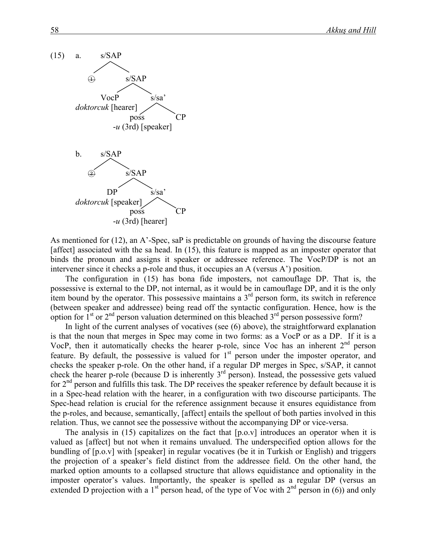

As mentioned for (12), an A'-Spec, saP is predictable on grounds of having the discourse feature [affect] associated with the sa head. In (15), this feature is mapped as an imposter operator that binds the pronoun and assigns it speaker or addressee reference. The VocP/DP is not an intervener since it checks a p-role and thus, it occupies an A (versus A') position.

The configuration in (15) has bona fide imposters, not camouflage DP. That is, the possessive is external to the DP, not internal, as it would be in camouflage DP, and it is the only item bound by the operator. This possessive maintains a 3rd person form, its switch in reference (between speaker and addressee) being read off the syntactic configuration. Hence, how is the option for  $1<sup>st</sup>$  or  $2<sup>nd</sup>$  person valuation determined on this bleached  $3<sup>rd</sup>$  person possessive form?

In light of the current analyses of vocatives (see (6) above), the straightforward explanation is that the noun that merges in Spec may come in two forms: as a VocP or as a DP. If it is a VocP, then it automatically checks the hearer p-role, since Voc has an inherent  $2<sup>nd</sup>$  person feature. By default, the possessive is valued for 1<sup>st</sup> person under the imposter operator, and checks the speaker p-role. On the other hand, if a regular DP merges in Spec, s/SAP, it cannot check the hearer p-role (because D is inherently 3rd person). Instead, the possessive gets valued for 2nd person and fulfills this task. The DP receives the speaker reference by default because it is in a Spec-head relation with the hearer, in a configuration with two discourse participants. The Spec-head relation is crucial for the reference assignment because it ensures equidistance from the p-roles, and because, semantically, [affect] entails the spellout of both parties involved in this relation. Thus, we cannot see the possessive without the accompanying DP or vice-versa.

The analysis in  $(15)$  capitalizes on the fact that  $[p.o.v]$  introduces an operator when it is valued as [affect] but not when it remains unvalued. The underspecified option allows for the bundling of [p.o.v] with [speaker] in regular vocatives (be it in Turkish or English) and triggers the projection of a speaker's field distinct from the addressee field. On the other hand, the marked option amounts to a collapsed structure that allows equidistance and optionality in the imposter operator's values. Importantly, the speaker is spelled as a regular DP (versus an extended D projection with a 1<sup>st</sup> person head, of the type of Voc with  $2<sup>nd</sup>$  person in (6)) and only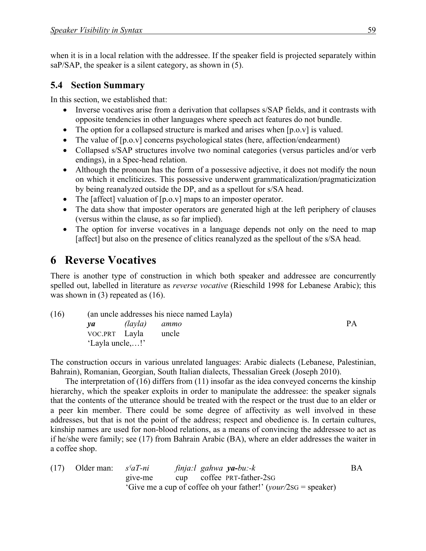when it is in a local relation with the addressee. If the speaker field is projected separately within saP/SAP, the speaker is a silent category, as shown in (5).

### **5.4 Section Summary**

In this section, we established that:

- Inverse vocatives arise from a derivation that collapses s/SAP fields, and it contrasts with opposite tendencies in other languages where speech act features do not bundle.
- The option for a collapsed structure is marked and arises when [p.o.v] is valued.
- The value of  $[p.o.v]$  concerns psychological states (here, affection/endearment)
- Collapsed s/SAP structures involve two nominal categories (versus particles and/or verb endings), in a Spec-head relation.
- Although the pronoun has the form of a possessive adjective, it does not modify the noun on which it encliticizes. This possessive underwent grammaticalization/pragmaticization by being reanalyzed outside the DP, and as a spellout for s/SA head.
- The [affect] valuation of [p.o.v] maps to an imposter operator.
- The data show that imposter operators are generated high at the left periphery of clauses (versus within the clause, as so far implied).
- The option for inverse vocatives in a language depends not only on the need to map [affect] but also on the presence of clitics reanalyzed as the spellout of the s/SA head.

# **6** Reverse **Vocatives**

There is another type of construction in which both speaker and addressee are concurrently spelled out, labelled in literature as *reverse vocative* (Rieschild 1998 for Lebanese Arabic); this was shown in (3) repeated as (16).

| (16) | (an uncle addresses his niece named Layla) |               |       |    |  |  |
|------|--------------------------------------------|---------------|-------|----|--|--|
|      | va <i>va</i>                               | (layla) ammo  |       | PА |  |  |
|      |                                            | VOC.PRT Layla | uncle |    |  |  |
|      | 'Layla uncle,!'                            |               |       |    |  |  |

The construction occurs in various unrelated languages: Arabic dialects (Lebanese, Palestinian, Bahrain), Romanian, Georgian, South Italian dialects, Thessalian Greek (Joseph 2010).

The interpretation of (16) differs from (11) insofar as the idea conveyed concerns the kinship hierarchy, which the speaker exploits in order to manipulate the addressee: the speaker signals that the contents of the utterance should be treated with the respect or the trust due to an elder or a peer kin member. There could be some degree of affectivity as well involved in these addresses, but that is not the point of the address; respect and obedience is. In certain cultures, kinship names are used for non-blood relations, as a means of convincing the addressee to act as if he/she were family; see (17) from Bahrain Arabic (BA), where an elder addresses the waiter in a coffee shop.

| (17) | Older man: | $s^{s}aT$ -ni | finja:l gahwa y <b>a-</b> bu:-k                                  | BA. |
|------|------------|---------------|------------------------------------------------------------------|-----|
|      |            | give-me       | cup coffee PRT-father-2sG                                        |     |
|      |            |               | 'Give me a cup of coffee oh your father!' $(vour/2SG = speaker)$ |     |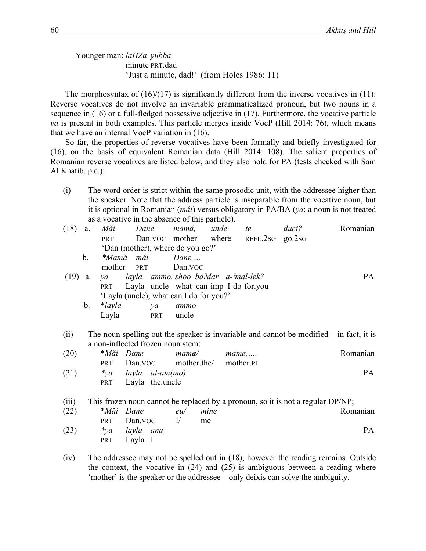Younger man: *laHZa yubba* minute PRT.dad 'Just a minute, dad!' (from Holes 1986: 11)

The morphosyntax of  $(16)/(17)$  is significantly different from the inverse vocatives in  $(11)$ : Reverse vocatives do not involve an invariable grammaticalized pronoun, but two nouns in a sequence in (16) or a full-fledged possessive adjective in (17). Furthermore, the vocative particle *ya* is present in both examples. This particle merges inside VocP (Hill 2014: 76), which means that we have an internal VocP variation in (16).

So far, the properties of reverse vocatives have been formally and briefly investigated for (16), on the basis of equivalent Romanian data (Hill 2014: 108). The salient properties of Romanian reverse vocatives are listed below, and they also hold for PA (tests checked with Sam Al Khatib, p.c.):

(i) The word order is strict within the same prosodic unit, with the addressee higher than the speaker. Note that the address particle is inseparable from the vocative noun, but it is optional in Romanian (*măi*) versus obligatory in PA/BA (*ya*; a noun is not treated as a vocative in the absence of this particle).

| (18) | a.            | Măi            | Dane                                    | mamă,                 | unde | te              | duci? | Romanian                                                                                  |
|------|---------------|----------------|-----------------------------------------|-----------------------|------|-----------------|-------|-------------------------------------------------------------------------------------------|
|      |               | <b>PRT</b>     |                                         | Dan. VOC mother where |      | REFL.2SG go.2SG |       |                                                                                           |
|      |               |                | 'Dan (mother), where do you go?'        |                       |      |                 |       |                                                                                           |
|      | $\mathbf b$ . |                | *Mamă măi                               | $Dane, \ldots$        |      |                 |       |                                                                                           |
|      |               | mother         | <b>PRT</b>                              | Dan.voc               |      |                 |       |                                                                                           |
| (19) | a.            | $\mathcal{V}a$ | layla ammo, shoo ba?dar a- $S$ mal-lek? |                       |      |                 |       | PA.                                                                                       |
|      |               | <b>PRT</b>     | Layla uncle what can-imp I-do-for.you   |                       |      |                 |       |                                                                                           |
|      |               |                | 'Layla (uncle), what can I do for you?' |                       |      |                 |       |                                                                                           |
|      | $b_{\cdot}$   | $*layla$       | ya                                      | ammo                  |      |                 |       |                                                                                           |
|      |               | Layla          | PRT                                     | uncle                 |      |                 |       |                                                                                           |
| (ii) |               |                |                                         |                       |      |                 |       | The noun spelling out the speaker is invariable and cannot be modified $-$ in fact, it is |
|      |               |                | a non-inflected frozen noun stem:       |                       |      |                 |       |                                                                                           |
| (20) |               |                | <i>*Măi Dane</i>                        | $m$ ama $\ell$        |      | $mame$          |       | Romanian                                                                                  |
|      |               | <b>PRT</b>     | Dan.voc mother.the                      |                       |      | mother.PL       |       |                                                                                           |

| (21) |  | <i>*ya layla al-am(mo)</i> | PА |
|------|--|----------------------------|----|
|      |  | PRT Layla the uncle        |    |

(iii) This frozen noun cannot be replaced by a pronoun, so it is not a regular DP/NP;

| (22) | *Măi Dane         | eu/ | mine | Romanian  |
|------|-------------------|-----|------|-----------|
|      | $PRT$ Dan. VOC I/ |     | me   |           |
| (23) | *ya layla ana     |     |      | <b>PA</b> |
|      | PRT Layla I       |     |      |           |

(iv) The addressee may not be spelled out in (18), however the reading remains. Outside the context, the vocative in (24) and (25) is ambiguous between a reading where 'mother' is the speaker or the addressee – only deixis can solve the ambiguity.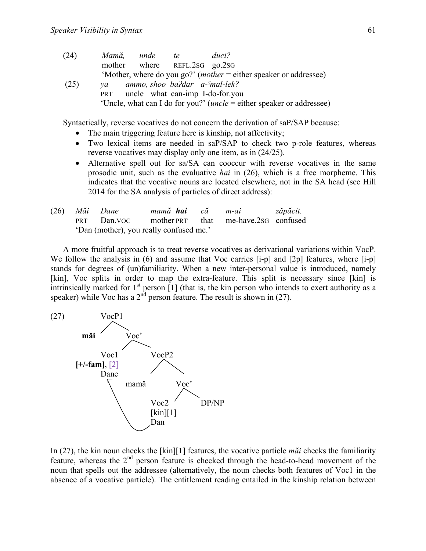| (24) | Mamă. | unde | te.                               | duci?                                                                     |
|------|-------|------|-----------------------------------|---------------------------------------------------------------------------|
|      |       |      | mother where REFL.2sG go.2sG      |                                                                           |
|      |       |      |                                   | 'Mother, where do you go?' ( <i>mother</i> = either speaker or addressee) |
| (25) | va    |      | ammo, shoo ba?dar a- $s$ mal-lek? |                                                                           |

PRT uncle what can-imp I-do-for.you 'Uncle, what can I do for you?' (*uncle* = either speaker or addressee)

Syntactically, reverse vocatives do not concern the derivation of saP/SAP because:

- The main triggering feature here is kinship, not affectivity;
- Two lexical items are needed in saP/SAP to check two p-role features, whereas reverse vocatives may display only one item, as in (24/25).
- Alternative spell out for sa/SA can cooccur with reverse vocatives in the same prosodic unit, such as the evaluative *hai* in (26), which is a free morpheme. This indicates that the vocative nouns are located elsewhere, not in the SA head (see Hill 2014 for the SA analysis of particles of direct address):

|                                         | (26) Măi Dane |                                                    |  | mamă hai că m-ai zăpăcit. |  |
|-----------------------------------------|---------------|----------------------------------------------------|--|---------------------------|--|
|                                         |               | PRT Dan, VOC mother PRT that me-have. 2SG confused |  |                           |  |
| 'Dan (mother), you really confused me.' |               |                                                    |  |                           |  |

A more fruitful approach is to treat reverse vocatives as derivational variations within VocP. We follow the analysis in (6) and assume that Voc carries [i-p] and [2p] features, where [i-p] stands for degrees of (un)familiarity. When a new inter-personal value is introduced, namely [kin], Voc splits in order to map the extra-feature. This split is necessary since [kin] is intrinsically marked for  $1<sup>st</sup>$  person [1] (that is, the kin person who intends to exert authority as a speaker) while Voc has a  $2<sup>nd</sup>$  person feature. The result is shown in (27).



In (27), the kin noun checks the [kin][1] features, the vocative particle *măi* checks the familiarity feature, whereas the 2nd person feature is checked through the head-to-head movement of the noun that spells out the addressee (alternatively, the noun checks both features of Voc1 in the absence of a vocative particle). The entitlement reading entailed in the kinship relation between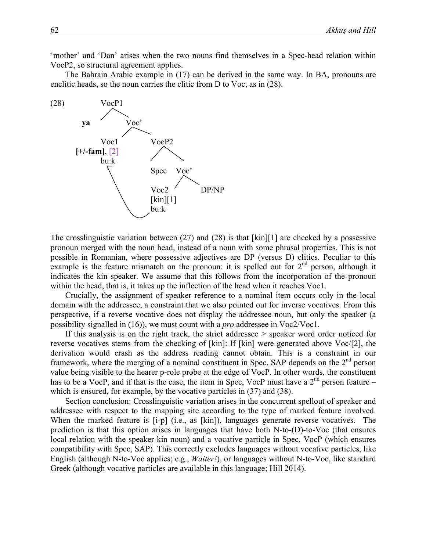'mother' and 'Dan' arises when the two nouns find themselves in a Spec-head relation within VocP2, so structural agreement applies.

The Bahrain Arabic example in (17) can be derived in the same way. In BA, pronouns are enclitic heads, so the noun carries the clitic from D to Voc, as in (28).



The crosslinguistic variation between (27) and (28) is that [kin][1] are checked by a possessive pronoun merged with the noun head, instead of a noun with some phrasal properties. This is not possible in Romanian, where possessive adjectives are DP (versus D) clitics. Peculiar to this example is the feature mismatch on the pronoun: it is spelled out for  $2<sup>nd</sup>$  person, although it indicates the kin speaker. We assume that this follows from the incorporation of the pronoun within the head, that is, it takes up the inflection of the head when it reaches Voc1.

Crucially, the assignment of speaker reference to a nominal item occurs only in the local domain with the addressee, a constraint that we also pointed out for inverse vocatives. From this perspective, if a reverse vocative does not display the addressee noun, but only the speaker (a possibility signalled in (16)), we must count with a *pro* addressee in Voc2/Voc1.

If this analysis is on the right track, the strict addressee > speaker word order noticed for reverse vocatives stems from the checking of [kin]: If [kin] were generated above Voc/[2], the derivation would crash as the address reading cannot obtain. This is a constraint in our framework, where the merging of a nominal constituent in Spec, SAP depends on the  $2<sup>nd</sup>$  person value being visible to the hearer p-role probe at the edge of VocP. In other words, the constituent has to be a VocP, and if that is the case, the item in Spec, VocP must have a  $2<sup>nd</sup>$  person feature – which is ensured, for example, by the vocative particles in  $(37)$  and  $(38)$ .

Section conclusion: Crosslinguistic variation arises in the concurrent spellout of speaker and addressee with respect to the mapping site according to the type of marked feature involved. When the marked feature is [i-p] (i.e., as [kin]), languages generate reverse vocatives. The prediction is that this option arises in languages that have both N-to-(D)-to-Voc (that ensures local relation with the speaker kin noun) and a vocative particle in Spec, VocP (which ensures compatibility with Spec, SAP). This correctly excludes languages without vocative particles, like English (although N-to-Voc applies; e.g., *Waiter!*), or languages without N-to-Voc, like standard Greek (although vocative particles are available in this language; Hill 2014).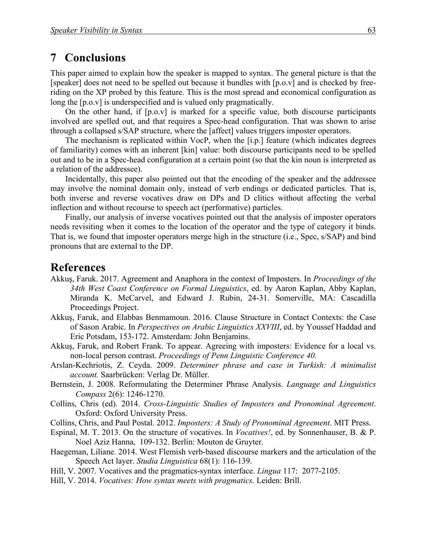## **7** Conclusions

This paper aimed to explain how the speaker is mapped to syntax. The general picture is that the [speaker] does not need to be spelled out because it bundles with [p.o.v] and is checked by freeriding on the XP probed by this feature. This is the most spread and economical configuration as long the  $[p.o.v]$  is underspecified and is valued only pragmatically.

On the other hand, if [p.o.v] is marked for a specific value, both discourse participants involved are spelled out, and that requires a Spec-head configuration. That was shown to arise through a collapsed s/SAP structure, where the [affect] values triggers imposter operators.

The mechanism is replicated within VocP, when the [i.p.] feature (which indicates degrees of familiarity) comes with an inherent [kin] value: both discourse participants need to be spelled out and to be in a Spec-head configuration at a certain point (so that the kin noun is interpreted as a relation of the addressee).

Incidentally, this paper also pointed out that the encoding of the speaker and the addressee may involve the nominal domain only, instead of verb endings or dedicated particles. That is, both inverse and reverse vocatives draw on DPs and D clitics without affecting the verbal inflection and without recourse to speech act (performative) particles.

Finally, our analysis of inverse vocatives pointed out that the analysis of imposter operators needs revisiting when it comes to the location of the operator and the type of category it binds. That is, we found that imposter operators merge high in the structure (i.e., Spec, s/SAP) and bind pronouns that are external to the DP.

### **References**

- Akkuş, Faruk. 2017. Agreement and Anaphora in the context of Imposters. In *Proceedings of the 34th West Coast Conference on Formal Linguistics*, ed. by Aaron Kaplan, Abby Kaplan, Miranda K. McCarvel, and Edward J. Rubin, 24-31. Somerville, MA: Cascadilla Proceedings Project.
- Akkuş, Faruk, and Elabbas Benmamoun. 2016. Clause Structure in Contact Contexts: the Case of Sason Arabic. In *Perspectives on Arabic Linguistics XXVIII*, ed. by Youssef Haddad and Eric Potsdam, 153-172. Amsterdam: John Benjamins.
- Akkuş, Faruk, and Robert Frank. To appear. Agreeing with imposters: Evidence for a local vs. non-local person contrast. *Proceedings of Penn Linguistic Conference 40.*
- Arslan-Kechriotis, Z. Ceyda. 2009. *Determiner phrase and case in Turkish: A minimalist account.* Saarbrücken: Verlag Dr. Müller.
- Bernstein, J. 2008. Reformulating the Determiner Phrase Analysis. *Language and Linguistics Compass* 2(6): 1246-1270.
- Collins, Chris (ed). 2014. *Cross-Linguistic Studies of Imposters and Pronominal Agreement*. Oxford: Oxford University Press.
- Collins, Chris, and Paul Postal. 2012. *Imposters: A Study of Pronominal Agreement*. MIT Press.
- Espinal, M. T. 2013. On the structure of vocatives. In *Vocatives!*, ed. by Sonnenhauser, B. & P. Noel Aziz Hanna, 109-132. Berlin: Mouton de Gruyter.
- Haegeman, Liliane. 2014. West Flemish verb-based discourse markers and the articulation of the Speech Act layer. *Studia Linguistica* 68(1): 116-139.
- Hill, V. 2007. Vocatives and the pragmatics-syntax interface. *Lingua* 117: 2077-2105.
- Hill, V. 2014. *Vocatives: How syntax meets with pragmatics.* Leiden: Brill.